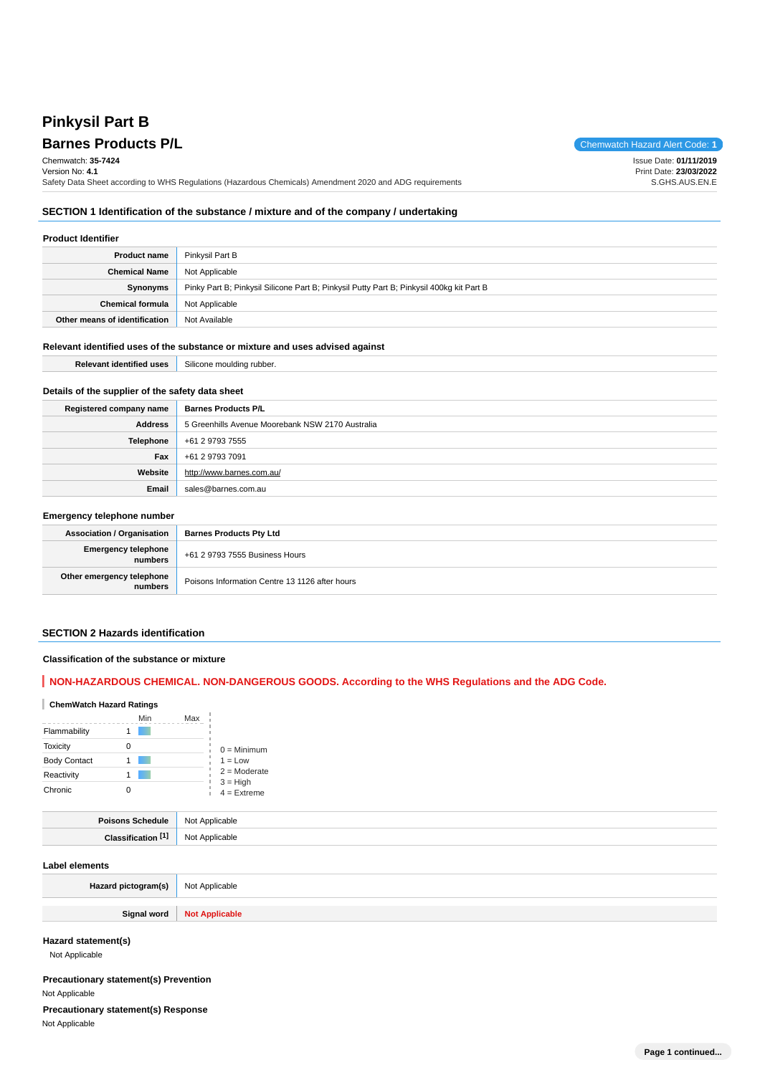## **Pinkysil Part B Barnes Products P/L**

| Barnes Products P/L                                                                                      | Chemwatch Hazard Alert Code: 1 |
|----------------------------------------------------------------------------------------------------------|--------------------------------|
| Chemwatch: 35-7424                                                                                       | Issue Date: 01/11/2019         |
| Version No: 4.1                                                                                          | Print Date: 23/03/2022         |
| Safety Data Sheet according to WHS Regulations (Hazardous Chemicals) Amendment 2020 and ADG requirements | S.GHS.AUS.EN.E                 |

### **SECTION 1 Identification of the substance / mixture and of the company / undertaking**

#### **Product Identifier**

| <b>Product name</b>           | Pinkysil Part B                                                                          |
|-------------------------------|------------------------------------------------------------------------------------------|
| <b>Chemical Name</b>          | Not Applicable                                                                           |
| Synonyms                      | Pinky Part B; Pinkysil Silicone Part B; Pinkysil Putty Part B; Pinkysil 400kg kit Part B |
| <b>Chemical formula</b>       | Not Applicable                                                                           |
| Other means of identification | Not Available                                                                            |

#### **Relevant identified uses of the substance or mixture and uses advised against**

| --- | .<br>. |
|-----|--------|
|     |        |

#### **Details of the supplier of the safety data sheet**

| Registered company name | <b>Barnes Products P/L</b>                       |
|-------------------------|--------------------------------------------------|
| Address                 | 5 Greenhills Avenue Moorebank NSW 2170 Australia |
| Telephone               | +61 2 9793 7555                                  |
| Fax                     | +61 2 9793 7091                                  |
| Website                 | http://www.barnes.com.au/                        |
| Email                   | sales@barnes.com.au                              |

#### **Emergency telephone number**

| <b>Association / Organisation</b>    | <b>Barnes Products Pty Ltd</b>                 |
|--------------------------------------|------------------------------------------------|
| Emergency telephone<br>numbers       | +61 2 9793 7555 Business Hours                 |
| Other emergency telephone<br>numbers | Poisons Information Centre 13 1126 after hours |

#### **SECTION 2 Hazards identification**

#### **Classification of the substance or mixture**

## **NON-HAZARDOUS CHEMICAL. NON-DANGEROUS GOODS. According to the WHS Regulations and the ADG Code.**

#### **ChemWatch Hazard Ratings**

|                     | Min | Max |                             |
|---------------------|-----|-----|-----------------------------|
| Flammability        |     |     |                             |
| <b>Toxicity</b>     | Ω   |     | $0 =$ Minimum               |
| <b>Body Contact</b> |     |     | $1 = Low$                   |
| Reactivity          |     |     | $2 =$ Moderate              |
| Chronic             |     |     | $3 = High$<br>$4 =$ Extreme |

| <b>Poisons Schedule</b>      | <b>Not</b><br>Applicable<br>. |
|------------------------------|-------------------------------|
| <b>F41</b><br>2 <sub>0</sub> | No<br>licable<br>$-$          |

#### **Label elements**

| Hazard pictogram(s) | Not Applicable               |
|---------------------|------------------------------|
|                     | Signal word   Not Applicable |

**Hazard statement(s)**

Not Applicable

#### **Precautionary statement(s) Prevention** Not Applicable

**Precautionary statement(s) Response**

Not Applicable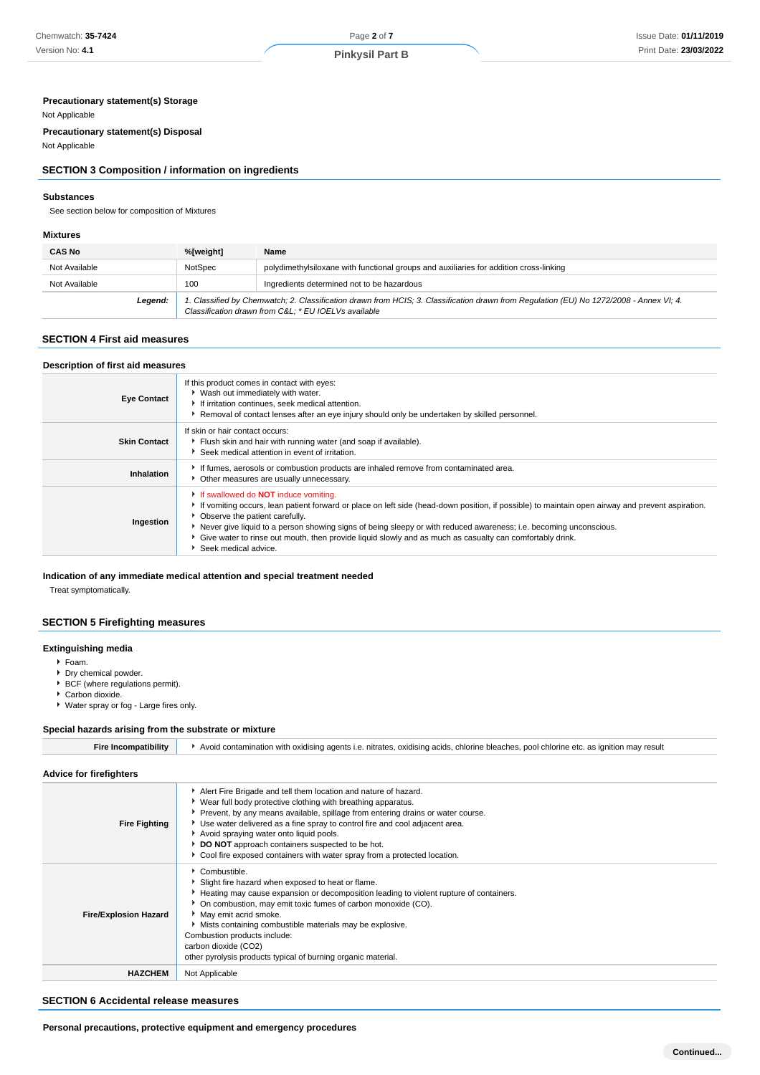#### **Precautionary statement(s) Storage**

#### Not Applicable

**Precautionary statement(s) Disposal**

## Not Applicable

#### **SECTION 3 Composition / information on ingredients**

#### **Substances**

See section below for composition of Mixtures

#### **Mixtures**

| <b>CAS No</b> | %[weight] | Name                                                                                                                                                                                           |
|---------------|-----------|------------------------------------------------------------------------------------------------------------------------------------------------------------------------------------------------|
| Not Available | NotSpec   | polydimethylsiloxane with functional groups and auxiliaries for addition cross-linking                                                                                                         |
| Not Available | 100       | Ingredients determined not to be hazardous                                                                                                                                                     |
| Legend:       |           | 1. Classified by Chemwatch; 2. Classification drawn from HCIS; 3. Classification drawn from Regulation (EU) No 1272/2008 - Annex VI; 4.<br>Classification drawn from C&L * EU IOELVs available |

#### **SECTION 4 First aid measures**

#### **Description of first aid measures**

| <b>Eve Contact</b>  | If this product comes in contact with eyes:<br>▶ Wash out immediately with water.<br>If irritation continues, seek medical attention.<br>Removal of contact lenses after an eye injury should only be undertaken by skilled personnel.                                                                                                                                                                                                                                                         |
|---------------------|------------------------------------------------------------------------------------------------------------------------------------------------------------------------------------------------------------------------------------------------------------------------------------------------------------------------------------------------------------------------------------------------------------------------------------------------------------------------------------------------|
| <b>Skin Contact</b> | If skin or hair contact occurs:<br>Flush skin and hair with running water (and soap if available).<br>Seek medical attention in event of irritation.                                                                                                                                                                                                                                                                                                                                           |
| Inhalation          | If fumes, aerosols or combustion products are inhaled remove from contaminated area.<br>• Other measures are usually unnecessary.                                                                                                                                                                                                                                                                                                                                                              |
| Ingestion           | If swallowed do <b>NOT</b> induce vomiting.<br>If vomiting occurs, lean patient forward or place on left side (head-down position, if possible) to maintain open airway and prevent aspiration.<br>• Observe the patient carefully.<br>Never give liquid to a person showing signs of being sleepy or with reduced awareness; i.e. becoming unconscious.<br>• Give water to rinse out mouth, then provide liquid slowly and as much as casualty can comfortably drink.<br>Seek medical advice. |

#### **Indication of any immediate medical attention and special treatment needed**

Treat symptomatically.

#### **SECTION 5 Firefighting measures**

#### **Extinguishing media**

Foam.

- **Dry chemical powder.**
- ▶ BCF (where regulations permit).
- ▶ Carbon dioxide.
- Water spray or fog Large fires only.

#### **Special hazards arising from the substrate or mixture**

| <b>Fire Incompatibility</b>    | Avoid contamination with oxidising agents i.e. nitrates, oxidising acids, chlorine bleaches, pool chlorine etc. as ignition may result                                                                                                                                                                                                                                                                                                                                          |
|--------------------------------|---------------------------------------------------------------------------------------------------------------------------------------------------------------------------------------------------------------------------------------------------------------------------------------------------------------------------------------------------------------------------------------------------------------------------------------------------------------------------------|
| <b>Advice for firefighters</b> |                                                                                                                                                                                                                                                                                                                                                                                                                                                                                 |
| <b>Fire Fighting</b>           | Alert Fire Brigade and tell them location and nature of hazard.<br>▶ Wear full body protective clothing with breathing apparatus.<br>Prevent, by any means available, spillage from entering drains or water course.<br>► Use water delivered as a fine spray to control fire and cool adjacent area.<br>Avoid spraying water onto liquid pools.<br>DO NOT approach containers suspected to be hot.<br>Cool fire exposed containers with water spray from a protected location. |
| <b>Fire/Explosion Hazard</b>   | Combustible.<br>Slight fire hazard when exposed to heat or flame.<br>Heating may cause expansion or decomposition leading to violent rupture of containers.<br>• On combustion, may emit toxic fumes of carbon monoxide (CO).<br>May emit acrid smoke.<br>Mists containing combustible materials may be explosive.<br>Combustion products include:<br>carbon dioxide (CO2)<br>other pyrolysis products typical of burning organic material.                                     |
| <b>HAZCHEM</b>                 | Not Applicable                                                                                                                                                                                                                                                                                                                                                                                                                                                                  |
|                                |                                                                                                                                                                                                                                                                                                                                                                                                                                                                                 |

### **SECTION 6 Accidental release measures**

**Personal precautions, protective equipment and emergency procedures**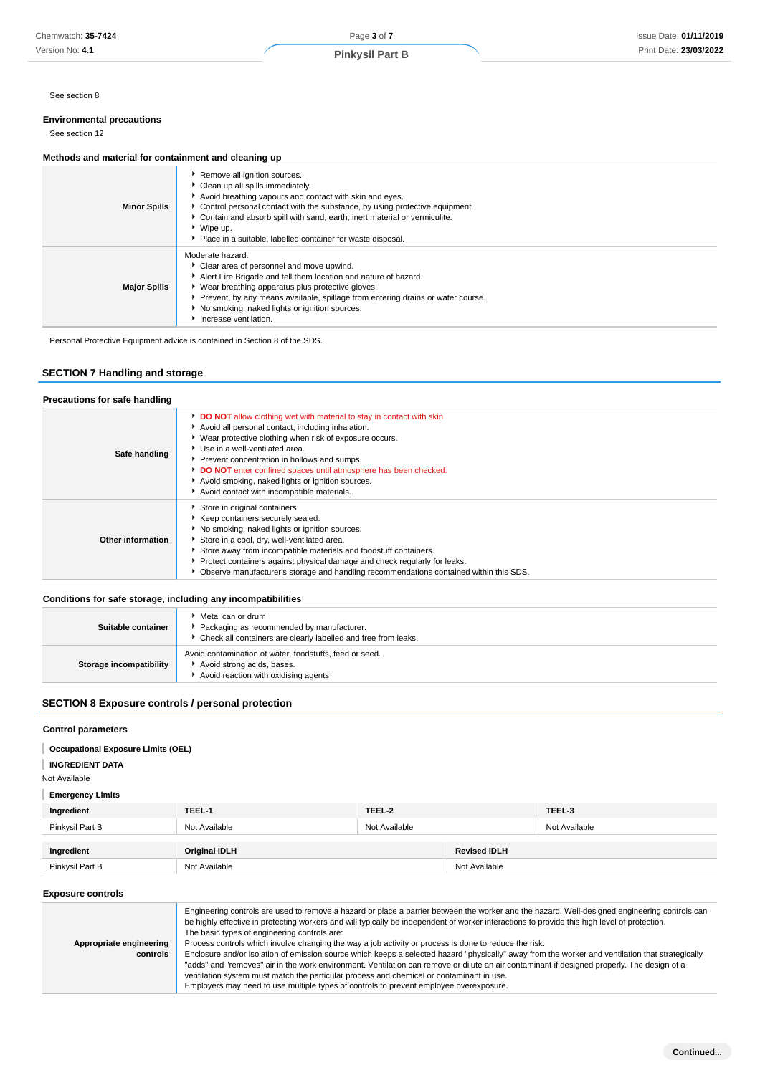## **Environmental precautions**

## See section 12

#### **Methods and material for containment and cleaning up**

| <b>Minor Spills</b> | Remove all ignition sources.<br>Clean up all spills immediately.<br>Avoid breathing vapours and contact with skin and eyes.<br>• Control personal contact with the substance, by using protective equipment.<br>• Contain and absorb spill with sand, earth, inert material or vermiculite.<br>$\triangleright$ Wipe up.<br>Place in a suitable, labelled container for waste disposal. |
|---------------------|-----------------------------------------------------------------------------------------------------------------------------------------------------------------------------------------------------------------------------------------------------------------------------------------------------------------------------------------------------------------------------------------|
| <b>Major Spills</b> | Moderate hazard.<br>Clear area of personnel and move upwind.<br>Alert Fire Brigade and tell them location and nature of hazard.<br>• Wear breathing apparatus plus protective gloves.<br>Prevent, by any means available, spillage from entering drains or water course.<br>No smoking, naked lights or ignition sources.<br>Increase ventilation.                                      |

## **SECTION 7 Handling and storage**

| Chemwatch: 35-7424                                                                   |                                                                                                                                                                                                                                      | Page 3 of 7                                                                                                                                                                                                                                                                                                                                                                                                                                                                                                                                                                                                                                                                                                                                                                                                                                                                                     |                     |               | Issue Date: 01/11/201 |
|--------------------------------------------------------------------------------------|--------------------------------------------------------------------------------------------------------------------------------------------------------------------------------------------------------------------------------------|-------------------------------------------------------------------------------------------------------------------------------------------------------------------------------------------------------------------------------------------------------------------------------------------------------------------------------------------------------------------------------------------------------------------------------------------------------------------------------------------------------------------------------------------------------------------------------------------------------------------------------------------------------------------------------------------------------------------------------------------------------------------------------------------------------------------------------------------------------------------------------------------------|---------------------|---------------|-----------------------|
| Version No: 4.1                                                                      |                                                                                                                                                                                                                                      | <b>Pinkysil Part B</b>                                                                                                                                                                                                                                                                                                                                                                                                                                                                                                                                                                                                                                                                                                                                                                                                                                                                          |                     |               | Print Date: 23/03/202 |
|                                                                                      |                                                                                                                                                                                                                                      |                                                                                                                                                                                                                                                                                                                                                                                                                                                                                                                                                                                                                                                                                                                                                                                                                                                                                                 |                     |               |                       |
| See section 8                                                                        |                                                                                                                                                                                                                                      |                                                                                                                                                                                                                                                                                                                                                                                                                                                                                                                                                                                                                                                                                                                                                                                                                                                                                                 |                     |               |                       |
| <b>Environmental precautions</b><br>See section 12                                   |                                                                                                                                                                                                                                      |                                                                                                                                                                                                                                                                                                                                                                                                                                                                                                                                                                                                                                                                                                                                                                                                                                                                                                 |                     |               |                       |
|                                                                                      |                                                                                                                                                                                                                                      |                                                                                                                                                                                                                                                                                                                                                                                                                                                                                                                                                                                                                                                                                                                                                                                                                                                                                                 |                     |               |                       |
| Methods and material for containment and cleaning up                                 |                                                                                                                                                                                                                                      |                                                                                                                                                                                                                                                                                                                                                                                                                                                                                                                                                                                                                                                                                                                                                                                                                                                                                                 |                     |               |                       |
| <b>Minor Spills</b>                                                                  | Remove all ignition sources.<br>Clean up all spills immediately.<br>▶ Wipe up.                                                                                                                                                       | Avoid breathing vapours and contact with skin and eyes.<br>Control personal contact with the substance, by using protective equipment.<br>Contain and absorb spill with sand, earth, inert material or vermiculite.<br>Place in a suitable, labelled container for waste disposal.                                                                                                                                                                                                                                                                                                                                                                                                                                                                                                                                                                                                              |                     |               |                       |
| <b>Major Spills</b>                                                                  | Moderate hazard.<br>Clear area of personnel and move upwind.<br>• Wear breathing apparatus plus protective gloves.<br>No smoking, naked lights or ignition sources.<br>Increase ventilation.                                         | Alert Fire Brigade and tell them location and nature of hazard.<br>Prevent, by any means available, spillage from entering drains or water course.                                                                                                                                                                                                                                                                                                                                                                                                                                                                                                                                                                                                                                                                                                                                              |                     |               |                       |
| Personal Protective Equipment advice is contained in Section 8 of the SDS.           |                                                                                                                                                                                                                                      |                                                                                                                                                                                                                                                                                                                                                                                                                                                                                                                                                                                                                                                                                                                                                                                                                                                                                                 |                     |               |                       |
|                                                                                      |                                                                                                                                                                                                                                      |                                                                                                                                                                                                                                                                                                                                                                                                                                                                                                                                                                                                                                                                                                                                                                                                                                                                                                 |                     |               |                       |
| <b>SECTION 7 Handling and storage</b>                                                |                                                                                                                                                                                                                                      |                                                                                                                                                                                                                                                                                                                                                                                                                                                                                                                                                                                                                                                                                                                                                                                                                                                                                                 |                     |               |                       |
| Precautions for safe handling                                                        |                                                                                                                                                                                                                                      |                                                                                                                                                                                                                                                                                                                                                                                                                                                                                                                                                                                                                                                                                                                                                                                                                                                                                                 |                     |               |                       |
|                                                                                      |                                                                                                                                                                                                                                      | DO NOT allow clothing wet with material to stay in contact with skin                                                                                                                                                                                                                                                                                                                                                                                                                                                                                                                                                                                                                                                                                                                                                                                                                            |                     |               |                       |
| Safe handling                                                                        | Avoid all personal contact, including inhalation.<br>Use in a well-ventilated area.<br>Prevent concentration in hollows and sumps.<br>Avoid smoking, naked lights or ignition sources.<br>Avoid contact with incompatible materials. | • Wear protective clothing when risk of exposure occurs.<br>DO NOT enter confined spaces until atmosphere has been checked.                                                                                                                                                                                                                                                                                                                                                                                                                                                                                                                                                                                                                                                                                                                                                                     |                     |               |                       |
| <b>Other information</b>                                                             | Store in original containers.<br>Keep containers securely sealed.<br>No smoking, naked lights or ignition sources.<br>Store in a cool, dry, well-ventilated area.                                                                    | Store away from incompatible materials and foodstuff containers.<br>Protect containers against physical damage and check regularly for leaks.<br>▶ Observe manufacturer's storage and handling recommendations contained within this SDS.                                                                                                                                                                                                                                                                                                                                                                                                                                                                                                                                                                                                                                                       |                     |               |                       |
|                                                                                      |                                                                                                                                                                                                                                      |                                                                                                                                                                                                                                                                                                                                                                                                                                                                                                                                                                                                                                                                                                                                                                                                                                                                                                 |                     |               |                       |
| Conditions for safe storage, including any incompatibilities                         | Metal can or drum                                                                                                                                                                                                                    |                                                                                                                                                                                                                                                                                                                                                                                                                                                                                                                                                                                                                                                                                                                                                                                                                                                                                                 |                     |               |                       |
| Suitable container                                                                   | Packaging as recommended by manufacturer.<br>۰.                                                                                                                                                                                      | Check all containers are clearly labelled and free from leaks.                                                                                                                                                                                                                                                                                                                                                                                                                                                                                                                                                                                                                                                                                                                                                                                                                                  |                     |               |                       |
| <b>Storage incompatibility</b>                                                       | Avoid contamination of water, foodstuffs, feed or seed.<br>Avoid strong acids, bases.<br>Avoid reaction with oxidising agents                                                                                                        |                                                                                                                                                                                                                                                                                                                                                                                                                                                                                                                                                                                                                                                                                                                                                                                                                                                                                                 |                     |               |                       |
| <b>SECTION 8 Exposure controls / personal protection</b>                             |                                                                                                                                                                                                                                      |                                                                                                                                                                                                                                                                                                                                                                                                                                                                                                                                                                                                                                                                                                                                                                                                                                                                                                 |                     |               |                       |
| <b>Control parameters</b>                                                            |                                                                                                                                                                                                                                      |                                                                                                                                                                                                                                                                                                                                                                                                                                                                                                                                                                                                                                                                                                                                                                                                                                                                                                 |                     |               |                       |
| <b>Occupational Exposure Limits (OEL)</b><br><b>INGREDIENT DATA</b><br>Not Available |                                                                                                                                                                                                                                      |                                                                                                                                                                                                                                                                                                                                                                                                                                                                                                                                                                                                                                                                                                                                                                                                                                                                                                 |                     |               |                       |
| <b>Emergency Limits</b>                                                              |                                                                                                                                                                                                                                      |                                                                                                                                                                                                                                                                                                                                                                                                                                                                                                                                                                                                                                                                                                                                                                                                                                                                                                 |                     |               |                       |
| Ingredient                                                                           | TEEL-1                                                                                                                                                                                                                               | TEEL-2                                                                                                                                                                                                                                                                                                                                                                                                                                                                                                                                                                                                                                                                                                                                                                                                                                                                                          |                     | TEEL-3        |                       |
| Pinkysil Part B                                                                      | Not Available                                                                                                                                                                                                                        | Not Available                                                                                                                                                                                                                                                                                                                                                                                                                                                                                                                                                                                                                                                                                                                                                                                                                                                                                   |                     | Not Available |                       |
| Ingredient                                                                           | <b>Original IDLH</b>                                                                                                                                                                                                                 |                                                                                                                                                                                                                                                                                                                                                                                                                                                                                                                                                                                                                                                                                                                                                                                                                                                                                                 | <b>Revised IDLH</b> |               |                       |
| Pinkysil Part B                                                                      | Not Available                                                                                                                                                                                                                        |                                                                                                                                                                                                                                                                                                                                                                                                                                                                                                                                                                                                                                                                                                                                                                                                                                                                                                 | Not Available       |               |                       |
| <b>Exposure controls</b>                                                             |                                                                                                                                                                                                                                      |                                                                                                                                                                                                                                                                                                                                                                                                                                                                                                                                                                                                                                                                                                                                                                                                                                                                                                 |                     |               |                       |
| Appropriate engineering<br>controls                                                  | The basic types of engineering controls are:                                                                                                                                                                                         | Engineering controls are used to remove a hazard or place a barrier between the worker and the hazard. Well-designed engineering controls can<br>be highly effective in protecting workers and will typically be independent of worker interactions to provide this high level of protection.<br>Process controls which involve changing the way a job activity or process is done to reduce the risk.<br>Enclosure and/or isolation of emission source which keeps a selected hazard "physically" away from the worker and ventilation that strategically<br>"adds" and "removes" air in the work environment. Ventilation can remove or dilute an air contaminant if designed properly. The design of a<br>ventilation system must match the particular process and chemical or contaminant in use.<br>Employers may need to use multiple types of controls to prevent employee overexposure. |                     |               |                       |

### **Conditions for safe storage, including any incompatibilities**

| senanceno for ouro otorugo; moraamg any moompatismicoo |                                                                                                                                    |
|--------------------------------------------------------|------------------------------------------------------------------------------------------------------------------------------------|
| Suitable container                                     | Metal can or drum<br>Packaging as recommended by manufacturer.<br>• Check all containers are clearly labelled and free from leaks. |
| Storage incompatibility                                | Avoid contamination of water, foodstuffs, feed or seed.<br>Avoid strong acids, bases.<br>Avoid reaction with oxidising agents      |

#### **SECTION 8 Exposure controls / personal protection**

#### **Control parameters**

| <b>Occupational Exposure Limits (OEL)</b> |  |  |
|-------------------------------------------|--|--|
|                                           |  |  |

#### **INGREDIENT DATA**

| Ingredient      | TEEL-1               | TEEL-2        |                     | TEEL-3        |
|-----------------|----------------------|---------------|---------------------|---------------|
| Pinkysil Part B | Not Available        | Not Available |                     | Not Available |
| Ingredient      | <b>Original IDLH</b> |               | <b>Revised IDLH</b> |               |
| Pinkysil Part B | Not Available        |               | Not Available       |               |

#### **Exposure controls**

|                         | Engineering controls are used to remove a hazard or place a barrier between the worker and the hazard. Well-designed engineering controls can<br>be highly effective in protecting workers and will typically be independent of worker interactions to provide this high level of protection.<br>The basic types of engineering controls are: |
|-------------------------|-----------------------------------------------------------------------------------------------------------------------------------------------------------------------------------------------------------------------------------------------------------------------------------------------------------------------------------------------|
| Appropriate engineering | Process controls which involve changing the way a job activity or process is done to reduce the risk.                                                                                                                                                                                                                                         |
| controls                | Enclosure and/or isolation of emission source which keeps a selected hazard "physically" away from the worker and ventilation that strategically                                                                                                                                                                                              |
|                         | "adds" and "removes" air in the work environment. Ventilation can remove or dilute an air contaminant if designed properly. The design of a                                                                                                                                                                                                   |
|                         | ventilation system must match the particular process and chemical or contaminant in use.                                                                                                                                                                                                                                                      |
|                         | Employers may need to use multiple types of controls to prevent employee overexposure.                                                                                                                                                                                                                                                        |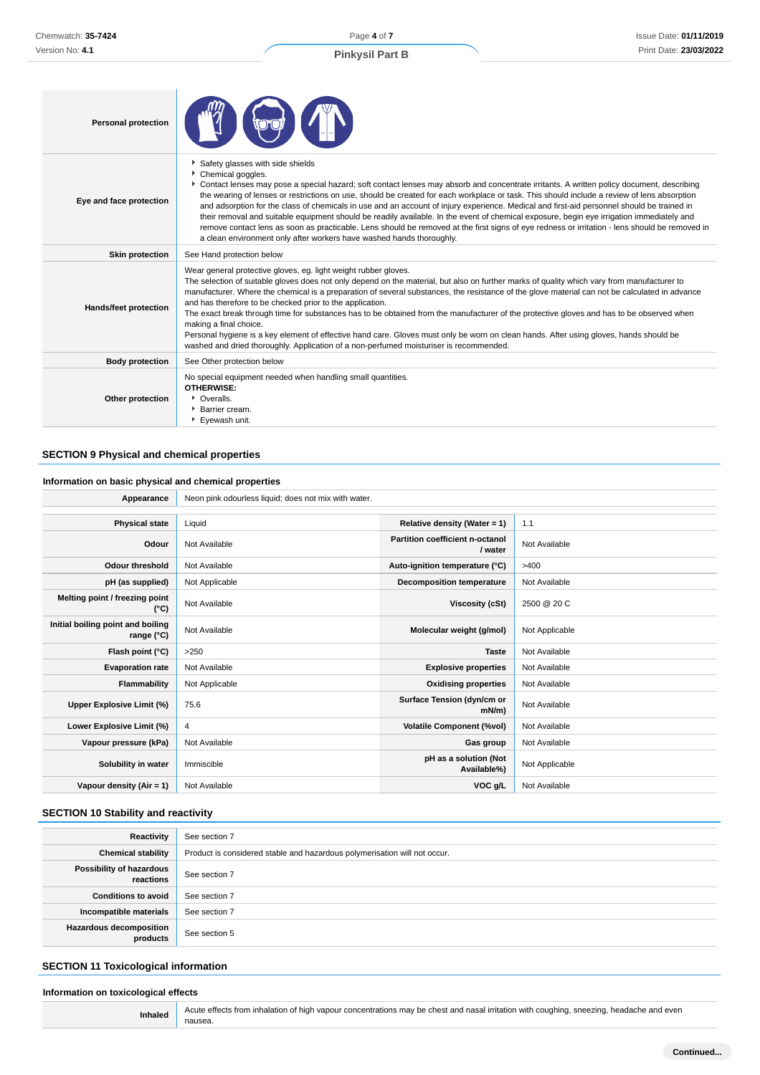Page **4** of **7**

## **Pinkysil Part B**

| <b>Personal protection</b> |                                                                                                                                                                                                                                                                                                                                                                                                                                                                                                                                                                                                                                                                                                                                                                                                                                                                          |
|----------------------------|--------------------------------------------------------------------------------------------------------------------------------------------------------------------------------------------------------------------------------------------------------------------------------------------------------------------------------------------------------------------------------------------------------------------------------------------------------------------------------------------------------------------------------------------------------------------------------------------------------------------------------------------------------------------------------------------------------------------------------------------------------------------------------------------------------------------------------------------------------------------------|
| Eye and face protection    | Safety glasses with side shields<br>Chemical goggles.<br>▶ Contact lenses may pose a special hazard; soft contact lenses may absorb and concentrate irritants. A written policy document, describing<br>the wearing of lenses or restrictions on use, should be created for each workplace or task. This should include a review of lens absorption<br>and adsorption for the class of chemicals in use and an account of injury experience. Medical and first-aid personnel should be trained in<br>their removal and suitable equipment should be readily available. In the event of chemical exposure, begin eye irrigation immediately and<br>remove contact lens as soon as practicable. Lens should be removed at the first signs of eye redness or irritation - lens should be removed in<br>a clean environment only after workers have washed hands thoroughly. |
| <b>Skin protection</b>     | See Hand protection below                                                                                                                                                                                                                                                                                                                                                                                                                                                                                                                                                                                                                                                                                                                                                                                                                                                |
| Hands/feet protection      | Wear general protective gloves, eg. light weight rubber gloves.<br>The selection of suitable gloves does not only depend on the material, but also on further marks of quality which vary from manufacturer to<br>manufacturer. Where the chemical is a preparation of several substances, the resistance of the glove material can not be calculated in advance<br>and has therefore to be checked prior to the application.<br>The exact break through time for substances has to be obtained from the manufacturer of the protective gloves and has to be observed when<br>making a final choice.<br>Personal hygiene is a key element of effective hand care. Gloves must only be worn on clean hands. After using gloves, hands should be<br>washed and dried thoroughly. Application of a non-perfumed moisturiser is recommended.                                 |
| <b>Body protection</b>     | See Other protection below                                                                                                                                                                                                                                                                                                                                                                                                                                                                                                                                                                                                                                                                                                                                                                                                                                               |
| Other protection           | No special equipment needed when handling small quantities.<br><b>OTHERWISE:</b><br>• Overalls.<br><b>Barrier cream.</b><br>Eyewash unit.                                                                                                                                                                                                                                                                                                                                                                                                                                                                                                                                                                                                                                                                                                                                |

## **SECTION 9 Physical and chemical properties**

## **Information on basic physical and chemical properties**

| Appearance                                      | Neon pink odourless liquid; does not mix with water. |                                            |                |
|-------------------------------------------------|------------------------------------------------------|--------------------------------------------|----------------|
|                                                 |                                                      |                                            |                |
| <b>Physical state</b>                           | Liquid                                               | Relative density (Water = 1)               | 1.1            |
| Odour                                           | Not Available                                        | Partition coefficient n-octanol<br>/ water | Not Available  |
| <b>Odour threshold</b>                          | Not Available                                        | Auto-ignition temperature (°C)             | >400           |
| pH (as supplied)                                | Not Applicable                                       | <b>Decomposition temperature</b>           | Not Available  |
| Melting point / freezing point<br>(°C)          | Not Available                                        | Viscosity (cSt)                            | 2500 @ 20 C    |
| Initial boiling point and boiling<br>range (°C) | Not Available                                        | Molecular weight (g/mol)                   | Not Applicable |
| Flash point (°C)                                | >250                                                 | <b>Taste</b>                               | Not Available  |
| <b>Evaporation rate</b>                         | Not Available                                        | <b>Explosive properties</b>                | Not Available  |
| Flammability                                    | Not Applicable                                       | <b>Oxidising properties</b>                | Not Available  |
| Upper Explosive Limit (%)                       | 75.6                                                 | Surface Tension (dyn/cm or<br>$mN/m$ )     | Not Available  |
| Lower Explosive Limit (%)                       | 4                                                    | <b>Volatile Component (%vol)</b>           | Not Available  |
| Vapour pressure (kPa)                           | Not Available                                        | Gas group                                  | Not Available  |
| Solubility in water                             | Immiscible                                           | pH as a solution (Not<br>Available%)       | Not Applicable |
| Vapour density $(Air = 1)$                      | Not Available                                        | VOC g/L                                    | Not Available  |

#### **SECTION 10 Stability and reactivity**

| Reactivity                            | See section 7                                                             |
|---------------------------------------|---------------------------------------------------------------------------|
| <b>Chemical stability</b>             | Product is considered stable and hazardous polymerisation will not occur. |
| Possibility of hazardous<br>reactions | See section 7                                                             |
| <b>Conditions to avoid</b>            | See section 7                                                             |
| Incompatible materials                | See section 7                                                             |
| Hazardous decomposition<br>products   | See section 5                                                             |

#### **SECTION 11 Toxicological information**

# **Information on toxicological effects**

Inhaled Acute effects from inhalation of high vapour concentrations may be chest and nasal irritation with coughing, sneezing, headache and even nausea.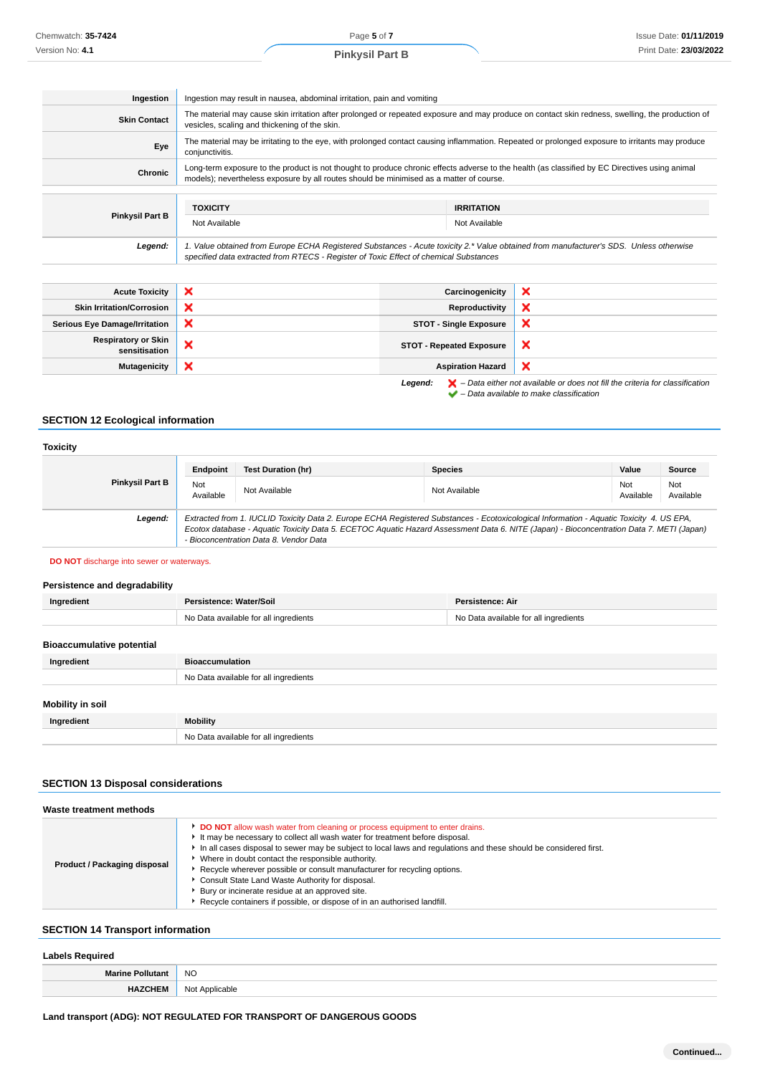| Ingestion                 | Ingestion may result in nausea, abdominal irritation, pain and vomiting                                                                                                                                                                   |                       |   |
|---------------------------|-------------------------------------------------------------------------------------------------------------------------------------------------------------------------------------------------------------------------------------------|-----------------------|---|
| <b>Skin Contact</b>       | The material may cause skin irritation after prolonged or repeated exposure and may produce on contact skin redness, swelling, the production of<br>vesicles, scaling and thickening of the skin.                                         |                       |   |
| Eye                       | The material may be irritating to the eye, with prolonged contact causing inflammation. Repeated or prolonged exposure to irritants may produce<br>conjunctivitis.                                                                        |                       |   |
| Chronic                   | Long-term exposure to the product is not thought to produce chronic effects adverse to the health (as classified by EC Directives using animal<br>models); nevertheless exposure by all routes should be minimised as a matter of course. |                       |   |
|                           |                                                                                                                                                                                                                                           |                       |   |
|                           | <b>TOXICITY</b>                                                                                                                                                                                                                           | <b>IRRITATION</b>     |   |
| <b>Pinkysil Part B</b>    | Not Available<br>Not Available                                                                                                                                                                                                            |                       |   |
| Legend:                   | 1. Value obtained from Europe ECHA Registered Substances - Acute toxicity 2.* Value obtained from manufacturer's SDS. Unless otherwise<br>specified data extracted from RTECS - Register of Toxic Effect of chemical Substances           |                       |   |
|                           |                                                                                                                                                                                                                                           |                       |   |
| <b>Acute Toxicity</b>     | ×                                                                                                                                                                                                                                         | Carcinogenicity       | × |
| Skin Irritation/Corrosion |                                                                                                                                                                                                                                           | <b>Reproductivity</b> |   |

| <b>Skin Irritation/Corrosion</b>            | × | Reproductivity                  | ∽                                                                                                                                                                   |
|---------------------------------------------|---|---------------------------------|---------------------------------------------------------------------------------------------------------------------------------------------------------------------|
| <b>Serious Eye Damage/Irritation</b>        | × | <b>STOT - Single Exposure</b>   | ∽                                                                                                                                                                   |
| <b>Respiratory or Skin</b><br>sensitisation | ↗ | <b>STOT - Repeated Exposure</b> | ж                                                                                                                                                                   |
| <b>Mutagenicity</b>                         | × | <b>Aspiration Hazard</b>        |                                                                                                                                                                     |
|                                             |   | Legend:                         | $\blacktriangleright$ - Data either not available or does not fill the criteria for classification<br>$\blacktriangleright$ - Data available to make classification |

#### **SECTION 12 Ecological information**

#### **Toxicity Pinkysil Part B Endpoint Test Duration (hr) Species Value Source** Not<br>Available Not Not Available Not Available Not Available Not Available Not Available Not Ava<br>Available Ava Available Not Available **Legend:** Extracted from 1. IUCLID Toxicity Data 2. Europe ECHA Registered Substances - Ecotoxicological Information - Aquatic Toxicity 4. US EPA, Ecotox database - Aquatic Toxicity Data 5. ECETOC Aquatic Hazard Assessment Data 6. NITE (Japan) - Bioconcentration Data 7. METI (Japan) - Bioconcentration Data 8. Vendor Data

#### **DO NOT** discharge into sewer or waterways.

#### **Persistence and degradability**

| Ingredient                       | Persistence: Water/Soil               | Persistence: Air                      |  |
|----------------------------------|---------------------------------------|---------------------------------------|--|
|                                  | No Data available for all ingredients | No Data available for all ingredients |  |
|                                  |                                       |                                       |  |
| <b>Bioaccumulative potential</b> |                                       |                                       |  |
| Ingredient                       | <b>Bioaccumulation</b>                |                                       |  |
|                                  | No Data available for all ingredients |                                       |  |
|                                  |                                       |                                       |  |
| Mobility in soil                 |                                       |                                       |  |
| Ingredient                       | Mobility                              |                                       |  |
|                                  | No Data available for all ingredients |                                       |  |

#### **SECTION 13 Disposal considerations**

| Waste treatment methods      |                                                                                                                                                                                                                                                                                                                                                                                                                                                                                                                                                                                                        |  |  |  |
|------------------------------|--------------------------------------------------------------------------------------------------------------------------------------------------------------------------------------------------------------------------------------------------------------------------------------------------------------------------------------------------------------------------------------------------------------------------------------------------------------------------------------------------------------------------------------------------------------------------------------------------------|--|--|--|
| Product / Packaging disposal | DO NOT allow wash water from cleaning or process equipment to enter drains.<br>It may be necessary to collect all wash water for treatment before disposal.<br>In all cases disposal to sewer may be subject to local laws and regulations and these should be considered first.<br>Where in doubt contact the responsible authority.<br>▶ Recycle wherever possible or consult manufacturer for recycling options.<br>Consult State Land Waste Authority for disposal.<br>Bury or incinerate residue at an approved site.<br>Recycle containers if possible, or dispose of in an authorised landfill. |  |  |  |

## **SECTION 14 Transport information**

#### **Labels Required**

| --------------       |                          |  |
|----------------------|--------------------------|--|
| <b>Marine Pollut</b> | <b>NO</b>                |  |
| JCHEM                | $N \cap$<br>: Applicable |  |

### **Land transport (ADG): NOT REGULATED FOR TRANSPORT OF DANGEROUS GOODS**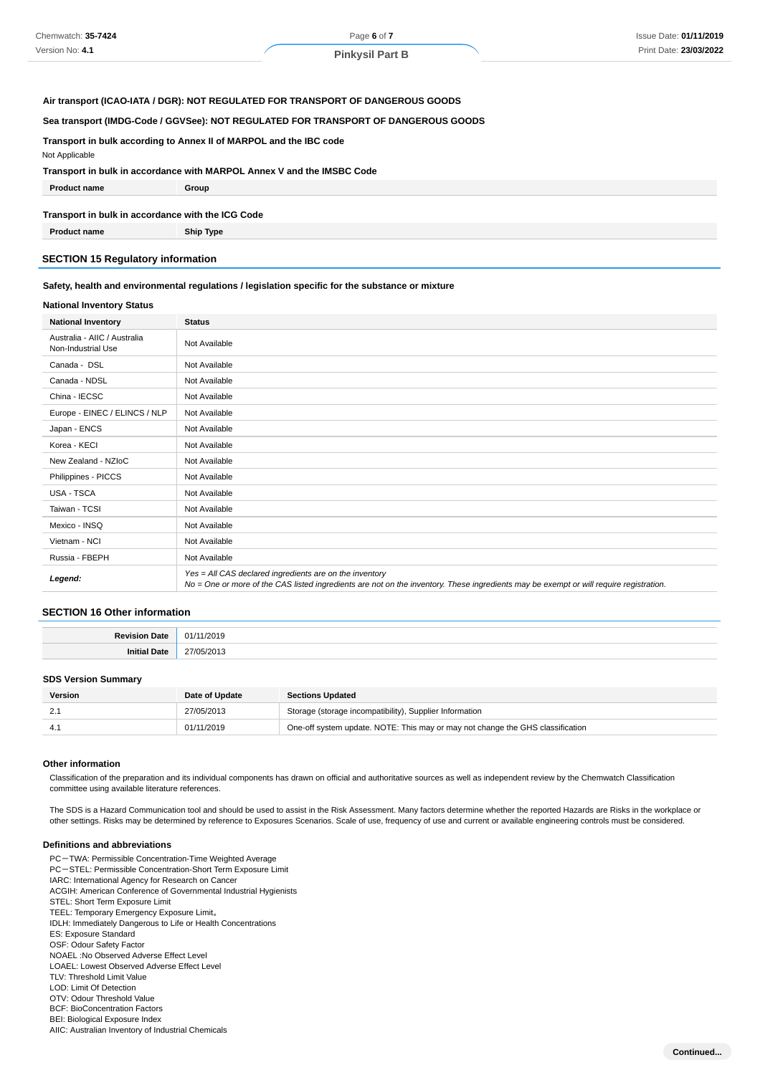#### **Air transport (ICAO-IATA / DGR): NOT REGULATED FOR TRANSPORT OF DANGEROUS GOODS**

#### **Sea transport (IMDG-Code / GGVSee): NOT REGULATED FOR TRANSPORT OF DANGEROUS GOODS**

**Transport in bulk according to Annex II of MARPOL and the IBC code**

Not Applicable

#### **Transport in bulk in accordance with MARPOL Annex V and the IMSBC Code**

| <b>Product name</b>                               | Group            |  |  |  |
|---------------------------------------------------|------------------|--|--|--|
| Transport in bulk in accordance with the ICG Code |                  |  |  |  |
| <b>Product name</b>                               | <b>Ship Type</b> |  |  |  |

#### **SECTION 15 Regulatory information**

#### **Safety, health and environmental regulations / legislation specific for the substance or mixture**

#### **National Inventory Status**

| <b>National Inventory</b>                          | <b>Status</b>                                                                                                                                                                                     |  |
|----------------------------------------------------|---------------------------------------------------------------------------------------------------------------------------------------------------------------------------------------------------|--|
| Australia - AIIC / Australia<br>Non-Industrial Use | Not Available                                                                                                                                                                                     |  |
| Canada - DSL                                       | Not Available                                                                                                                                                                                     |  |
| Canada - NDSL                                      | Not Available                                                                                                                                                                                     |  |
| China - IECSC                                      | Not Available                                                                                                                                                                                     |  |
| Europe - EINEC / ELINCS / NLP                      | Not Available                                                                                                                                                                                     |  |
| Japan - ENCS                                       | Not Available                                                                                                                                                                                     |  |
| Korea - KECI                                       | Not Available                                                                                                                                                                                     |  |
| New Zealand - NZIoC                                | Not Available                                                                                                                                                                                     |  |
| Philippines - PICCS                                | Not Available                                                                                                                                                                                     |  |
| USA - TSCA                                         | Not Available                                                                                                                                                                                     |  |
| Taiwan - TCSI                                      | Not Available                                                                                                                                                                                     |  |
| Mexico - INSQ                                      | Not Available                                                                                                                                                                                     |  |
| Vietnam - NCI                                      | Not Available                                                                                                                                                                                     |  |
| Russia - FBEPH                                     | Not Available                                                                                                                                                                                     |  |
| Legend:                                            | Yes = All CAS declared ingredients are on the inventory<br>No = One or more of the CAS listed ingredients are not on the inventory. These ingredients may be exempt or will require registration. |  |

#### **SECTION 16 Other information**

|         | ,,,<br>71.<br>. |
|---------|-----------------|
| mu<br>. | $\lambda$<br>.  |

#### **SDS Version Summary**

| Version | Date of Update | <b>Sections Updated</b>                                                        |
|---------|----------------|--------------------------------------------------------------------------------|
|         | 27/05/2013     | Storage (storage incompatibility), Supplier Information                        |
|         | 01/11/2019     | One-off system update. NOTE: This may or may not change the GHS classification |

#### **Other information**

Classification of the preparation and its individual components has drawn on official and authoritative sources as well as independent review by the Chemwatch Classification committee using available literature references.

The SDS is a Hazard Communication tool and should be used to assist in the Risk Assessment. Many factors determine whether the reported Hazards are Risks in the workplace or other settings. Risks may be determined by reference to Exposures Scenarios. Scale of use, frequency of use and current or available engineering controls must be considered.

#### **Definitions and abbreviations**

- PC-TWA: Permissible Concentration-Time Weighted Average PC-STEL: Permissible Concentration-Short Term Exposure Limit IARC: International Agency for Research on Cancer ACGIH: American Conference of Governmental Industrial Hygienists STEL: Short Term Exposure Limit TEEL: Temporary Emergency Exposure Limit。 IDLH: Immediately Dangerous to Life or Health Concentrations ES: Exposure Standard OSF: Odour Safety Factor
- NOAEL :No Observed Adverse Effect Level
- LOAEL: Lowest Observed Adverse Effect Level
- TLV: Threshold Limit Value
- LOD: Limit Of Detection
- OTV: Odour Threshold Value
- BCF: BioConcentration Factors
- BEI: Biological Exposure Index
- AIIC: Australian Inventory of Industrial Chemicals